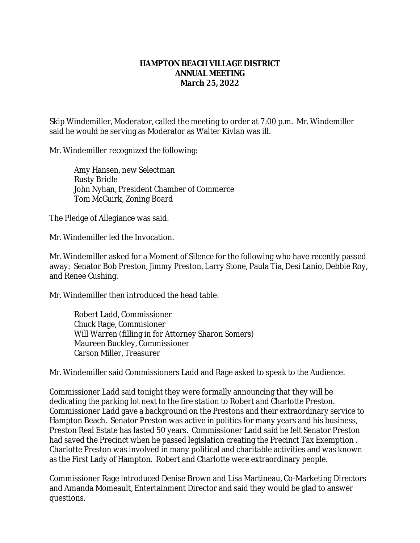## **HAMPTON BEACH VILLAGE DISTRICT ANNUAL MEETING March 25, 2022**

Skip Windemiller, Moderator, called the meeting to order at 7:00 p.m. Mr. Windemiller said he would be serving as Moderator as Walter Kivlan was ill.

Mr. Windemiller recognized the following:

Amy Hansen, new Selectman Rusty Bridle John Nyhan, President Chamber of Commerce Tom McGuirk, Zoning Board

The Pledge of Allegiance was said.

Mr. Windemiller led the Invocation.

Mr. Windemiller asked for a Moment of Silence for the following who have recently passed away: Senator Bob Preston, Jimmy Preston, Larry Stone, Paula Tia, Desi Lanio, Debbie Roy, and Renee Cushing.

Mr. Windemiller then introduced the head table:

Robert Ladd, Commissioner Chuck Rage, Commisioner Will Warren (filling in for Attorney Sharon Somers) Maureen Buckley, Commissioner Carson Miller, Treasurer

Mr. Windemiller said Commissioners Ladd and Rage asked to speak to the Audience.

Commissioner Ladd said tonight they were formally announcing that they will be dedicating the parking lot next to the fire station to Robert and Charlotte Preston. Commissioner Ladd gave a background on the Prestons and their extraordinary service to Hampton Beach. Senator Preston was active in politics for many years and his business, Preston Real Estate has lasted 50 years. Commissioner Ladd said he felt Senator Preston had saved the Precinct when he passed legislation creating the Precinct Tax Exemption . Charlotte Preston was involved in many political and charitable activities and was known as the First Lady of Hampton. Robert and Charlotte were extraordinary people.

Commissioner Rage introduced Denise Brown and Lisa Martineau, Co-Marketing Directors and Amanda Momeault, Entertainment Director and said they would be glad to answer questions.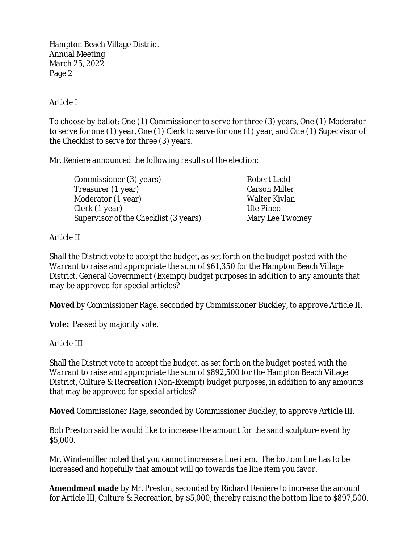Hampton Beach Village District Annual Meeting March 25, 2022 Page 2

## Article I

To choose by ballot: One (1) Commissioner to serve for three (3) years, One (1) Moderator to serve for one (1) year, One (1) Clerk to serve for one (1) year, and One (1) Supervisor of the Checklist to serve for three (3) years.

Mr. Reniere announced the following results of the election:

| Commissioner (3) years)               | Robert Ladd          |
|---------------------------------------|----------------------|
| Treasurer (1 year)                    | <b>Carson Miller</b> |
| Moderator (1 year)                    | Walter Kivlan        |
| Clerk (1 year)                        | Ute Pineo            |
| Supervisor of the Checklist (3 years) | Mary Lee Twomey      |

## Article II

Shall the District vote to accept the budget, as set forth on the budget posted with the Warrant to raise and appropriate the sum of \$61,350 for the Hampton Beach Village District, General Government (Exempt) budget purposes in addition to any amounts that may be approved for special articles?

**Moved** by Commissioner Rage, seconded by Commissioner Buckley, to approve Article II.

**Vote:** Passed by majority vote.

## Article III

Shall the District vote to accept the budget, as set forth on the budget posted with the Warrant to raise and appropriate the sum of \$892,500 for the Hampton Beach Village District, Culture & Recreation (Non-Exempt) budget purposes, in addition to any amounts that may be approved for special articles?

**Moved** Commissioner Rage, seconded by Commissioner Buckley, to approve Article III.

Bob Preston said he would like to increase the amount for the sand sculpture event by \$5,000.

Mr. Windemiller noted that you cannot increase a line item. The bottom line has to be increased and hopefully that amount will go towards the line item you favor.

**Amendment made** by Mr. Preston, seconded by Richard Reniere to increase the amount for Article III, Culture & Recreation, by \$5,000, thereby raising the bottom line to \$897,500.